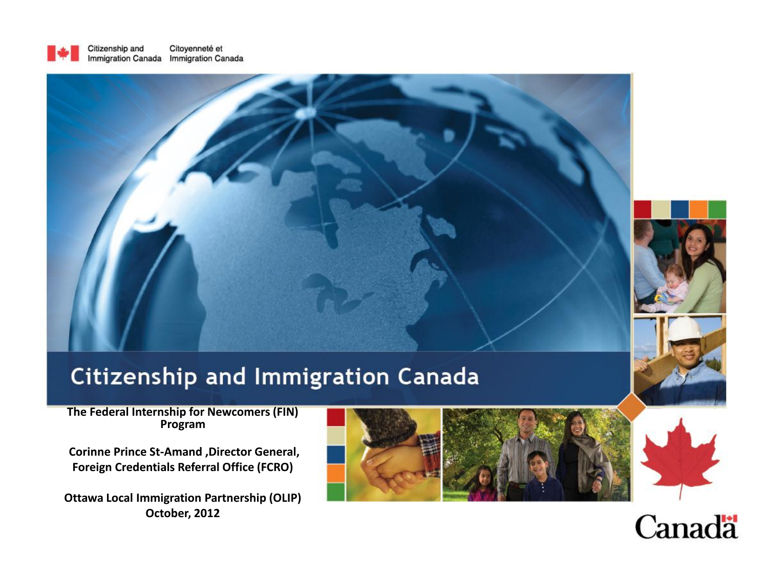



### **Citizenship and Immigration Canada**

#### **The Federal Internship for Newcomers (FIN) Program**

**Corinne Prince St-Amand ,Director General, Foreign Credentials Referral Office (FCRO)**

**Ottawa Local Immigration Partnership (OLIP) October, 2012**





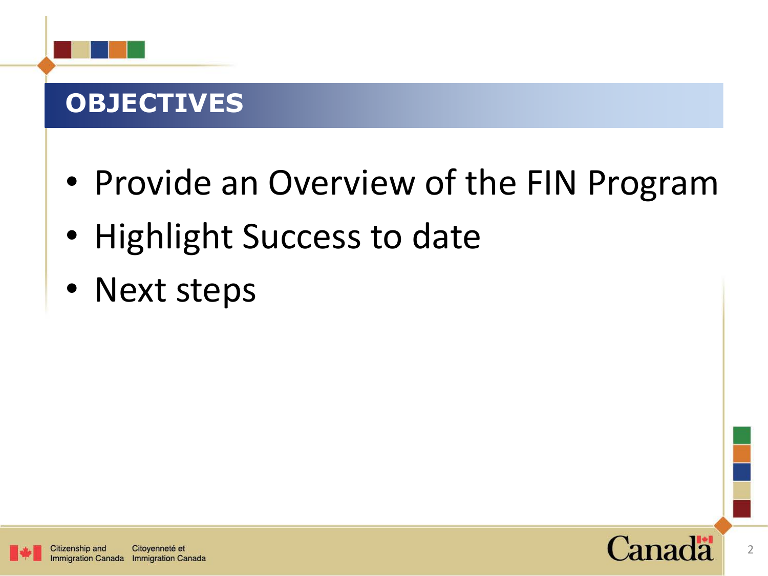# **OBJECTIVES**

- Provide an Overview of the FIN Program
- Highlight Success to date
- Next steps

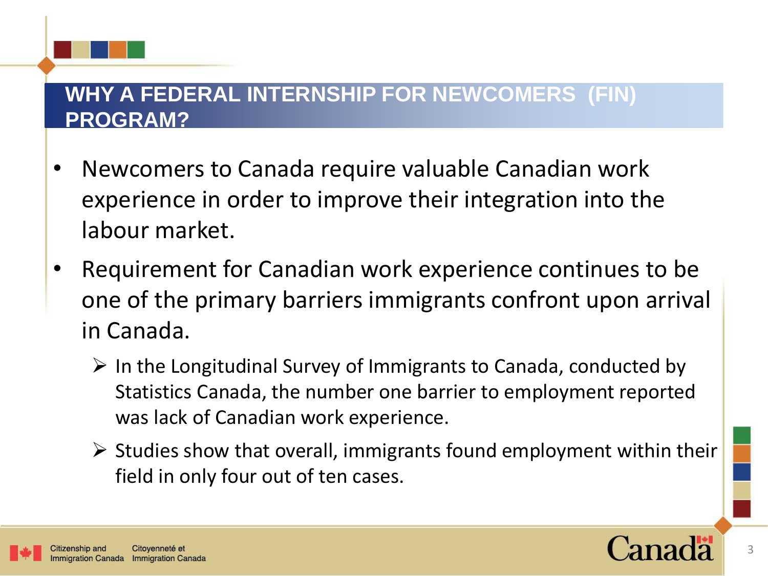### **WHY A FEDERAL INTERNSHIP FOR NEWCOMERS (FIN) PROGRAM?**

- Newcomers to Canada require valuable Canadian work experience in order to improve their integration into the labour market.
- Requirement for Canadian work experience continues to be one of the primary barriers immigrants confront upon arrival in Canada.
	- $\triangleright$  In the Longitudinal Survey of Immigrants to Canada, conducted by Statistics Canada, the number one barrier to employment reported was lack of Canadian work experience.
	- $\triangleright$  Studies show that overall, immigrants found employment within their field in only four out of ten cases.

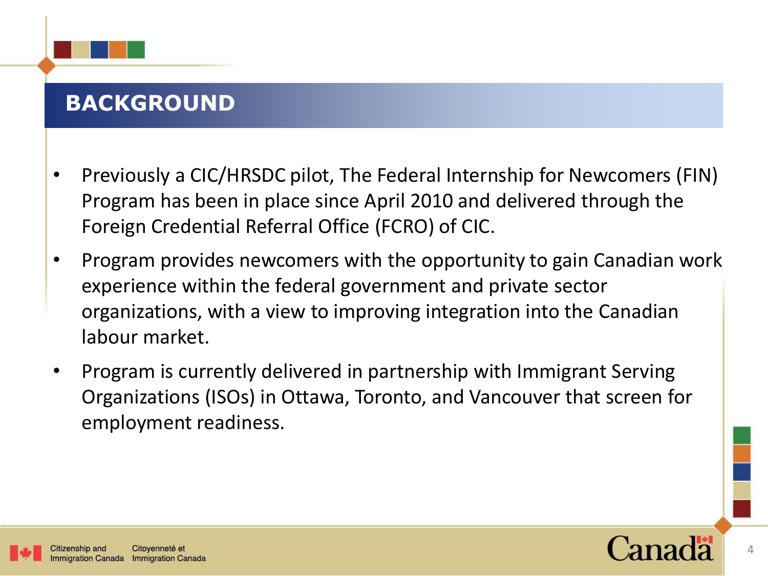### **BACKGROUND**

- Previously a CIC/HRSDC pilot, The Federal Internship for Newcomers (FIN) Program has been in place since April 2010 and delivered through the Foreign Credential Referral Office (FCRO) of CIC.
- Program provides newcomers with the opportunity to gain Canadian work experience within the federal government and private sector organizations, with a view to improving integration into the Canadian labour market.
- Program is currently delivered in partnership with Immigrant Serving Organizations (ISOs) in Ottawa, Toronto, and Vancouver that screen for employment readiness.

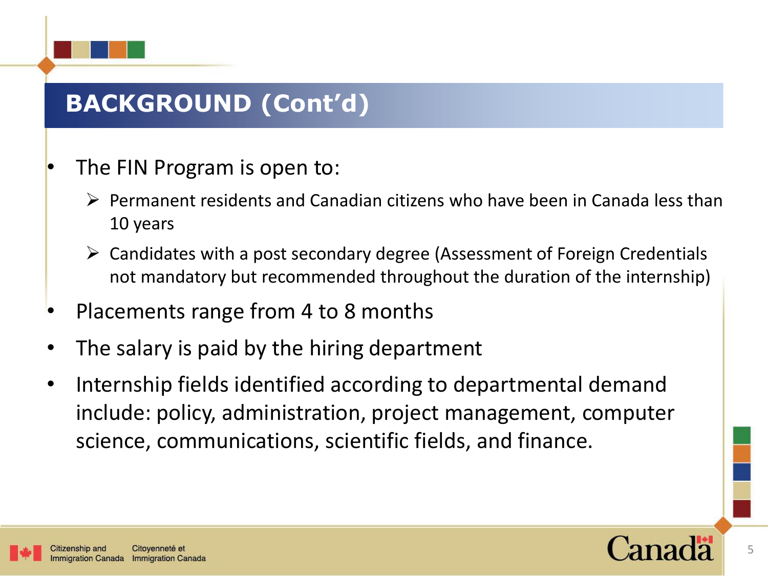# **BACKGROUND (Cont'd)**

- The FIN Program is open to:
	- $\triangleright$  Permanent residents and Canadian citizens who have been in Canada less than 10 years
	- $\triangleright$  Candidates with a post secondary degree (Assessment of Foreign Credentials not mandatory but recommended throughout the duration of the internship)
- Placements range from 4 to 8 months
- The salary is paid by the hiring department
- Internship fields identified according to departmental demand include: policy, administration, project management, computer science, communications, scientific fields, and finance.

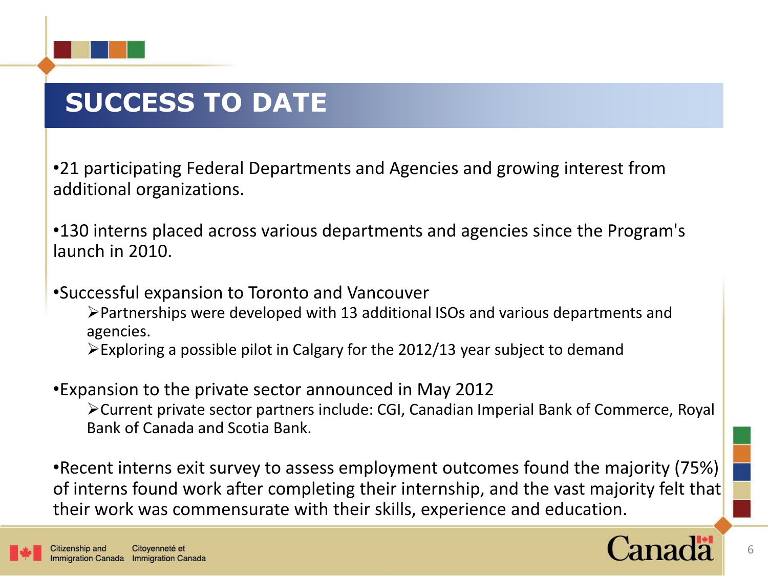

# **SUCCESS TO DATE**

•21 participating Federal Departments and Agencies and growing interest from additional organizations.

•130 interns placed across various departments and agencies since the Program's launch in 2010.

•Successful expansion to Toronto and Vancouver

Partnerships were developed with 13 additional ISOs and various departments and agencies.

Exploring a possible pilot in Calgary for the 2012/13 year subject to demand

•Expansion to the private sector announced in May 2012 Current private sector partners include: CGI, Canadian Imperial Bank of Commerce, Royal Bank of Canada and Scotia Bank.

•Recent interns exit survey to assess employment outcomes found the majority (75%) of interns found work after completing their internship, and the vast majority felt that their work was commensurate with their skills, experience and education.

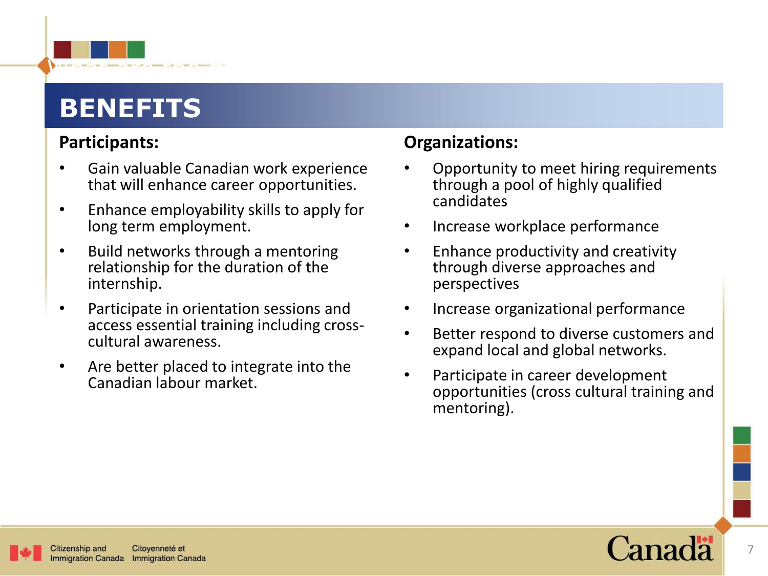# **BENEFITS**

### **Participants:**

• Gain valuable Canadian work experience that will enhance career opportunities.

What are the best by

- Enhance employability skills to apply for long term employment.
- Build networks through a mentoring relationship for the duration of the internship.
- Participate in orientation sessions and access essential training including crosscultural awareness.
- Are better placed to integrate into the Canadian labour market.

### **Organizations:**

- Opportunity to meet hiring requirements through a pool of highly qualified candidates
- Increase workplace performance
- Enhance productivity and creativity through diverse approaches and perspectives
- Increase organizational performance
- Better respond to diverse customers and expand local and global networks.
- Participate in career development opportunities (cross cultural training and mentoring).



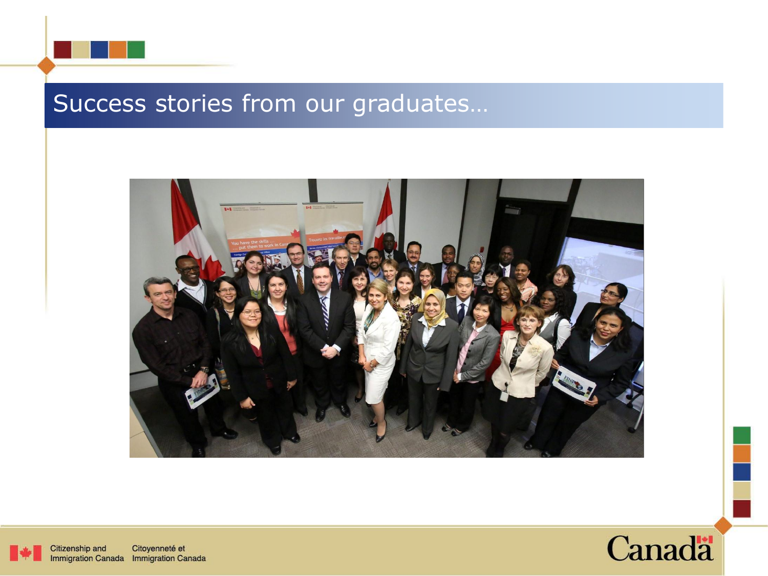





Citizenship and Citoyenneté et Immigration Canada Immigration Canada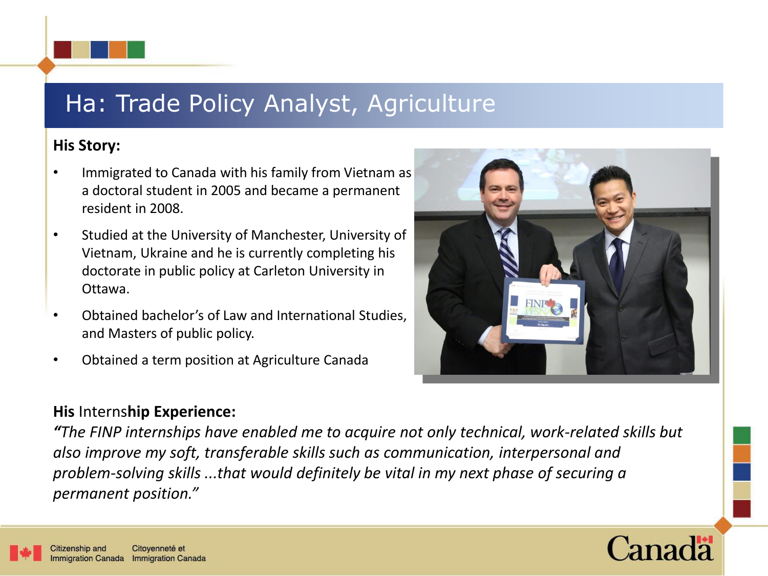### Ha: Trade Policy Analyst, Agriculture

### **His Story:**

- Immigrated to Canada with his family from Vietnam as a doctoral student in 2005 and became a permanent resident in 2008.
- Studied at the University of Manchester, University of Vietnam, Ukraine and he is currently completing his doctorate in public policy at Carleton University in Ottawa.
- Obtained bachelor's of Law and International Studies, and Masters of public policy.
- Obtained a term position at Agriculture Canada



*"The FINP internships have enabled me to acquire not only technical, work-related skills but also improve my soft, transferable skills such as communication, interpersonal and problem-solving skills ...that would definitely be vital in my next phase of securing a permanent position."*



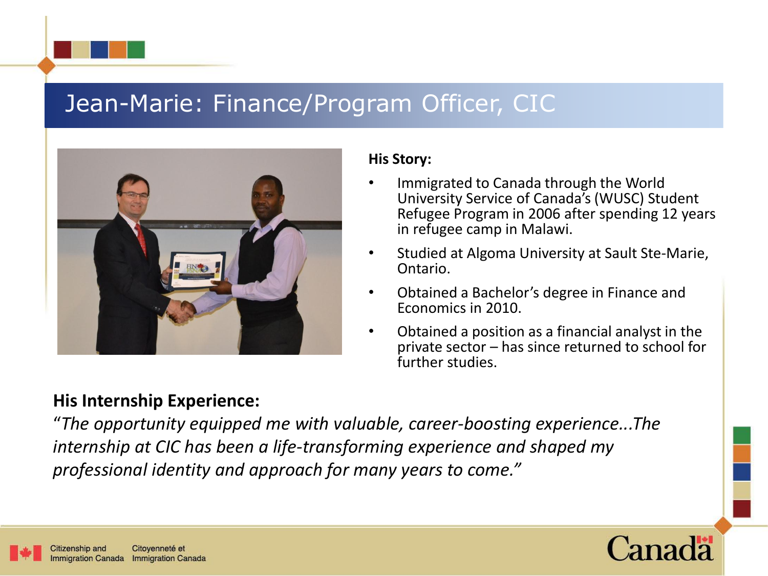### Jean-Marie: Finance/Program Officer, CIC



### **His Internship Experience:**

#### **His Story:**

- Immigrated to Canada through the World University Service of Canada's (WUSC) Student Refugee Program in 2006 after spending 12 years in refugee camp in Malawi.
- Studied at Algoma University at Sault Ste-Marie, Ontario.
- Obtained a Bachelor's degree in Finance and Economics in 2010.
- Obtained a position as a financial analyst in the private sector – has since returned to school for further studies.

"*The opportunity equipped me with valuable, career-boosting experience...The internship at CIC has been a life-transforming experience and shaped my professional identity and approach for many years to come."*

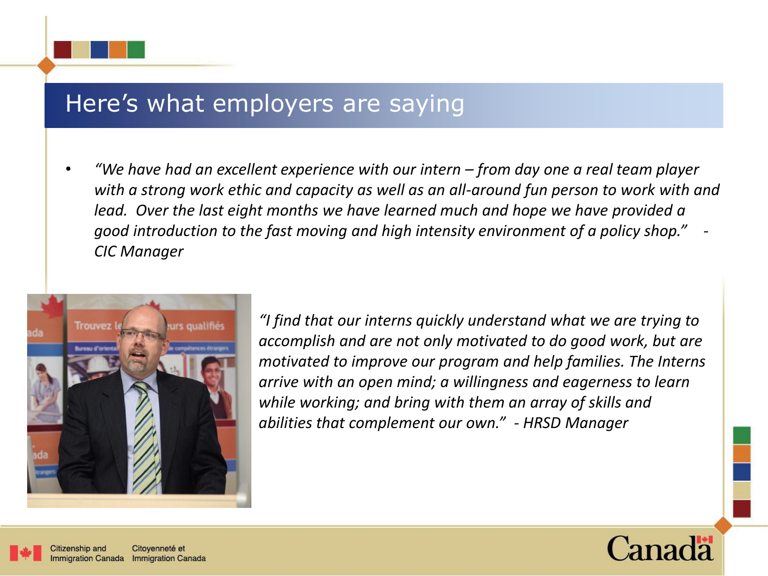### Here's what employers are saying

• *"We have had an excellent experience with our intern – from day one a real team player with a strong work ethic and capacity as well as an all-around fun person to work with and lead. Over the last eight months we have learned much and hope we have provided a good introduction to the fast moving and high intensity environment of a policy shop." - CIC Manager*



*"I find that our interns quickly understand what we are trying to accomplish and are not only motivated to do good work, but are motivated to improve our program and help families. The Interns arrive with an open mind; a willingness and eagerness to learn while working; and bring with them an array of skills and abilities that complement our own." - HRSD Manager*



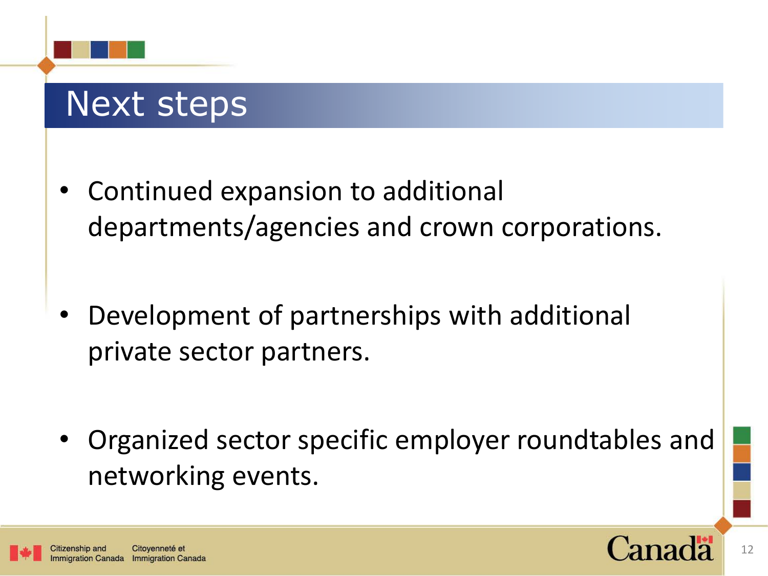# Next steps

- Continued expansion to additional departments/agencies and crown corporations.
- Development of partnerships with additional private sector partners.
- Organized sector specific employer roundtables and networking events.

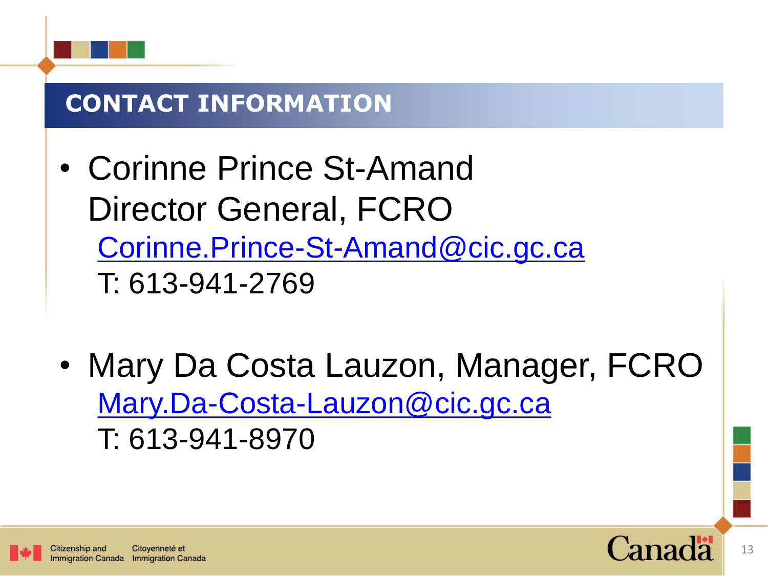

# **CONTACT INFORMATION**

- Corinne Prince St-Amand Director General, FCRO [Corinne.Prince-St-Amand@cic.gc.ca](mailto:Corinne.Prince-St-Amand@cic.gc.ca) T: 613-941-2769
- Mary Da Costa Lauzon, Manager, FCRO [Mary.Da-Costa-Lauzon@cic.gc.ca](mailto:Mary.Da-Costa-Lauzon@cic.gc.ca) T: 613-941-8970